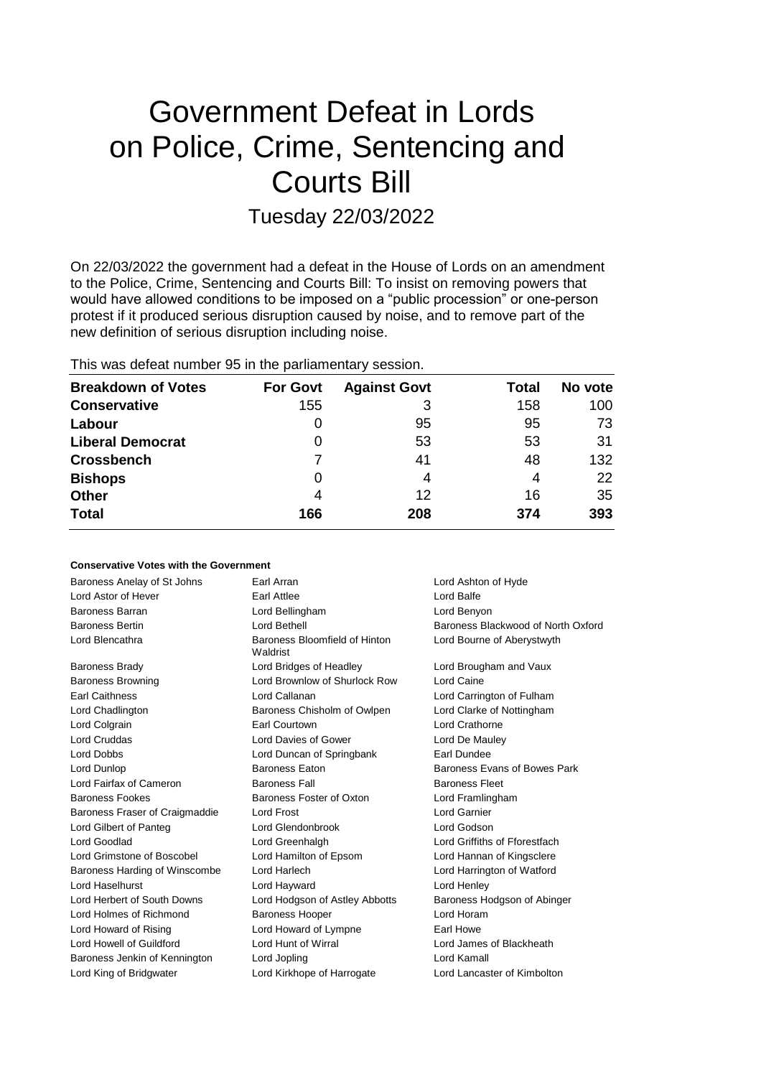# Government Defeat in Lords on Police, Crime, Sentencing and Courts Bill

Tuesday 22/03/2022

On 22/03/2022 the government had a defeat in the House of Lords on an amendment to the Police, Crime, Sentencing and Courts Bill: To insist on removing powers that would have allowed conditions to be imposed on a "public procession" or one-person protest if it produced serious disruption caused by noise, and to remove part of the new definition of serious disruption including noise.

This was defeat number 95 in the parliamentary session.

| <b>Breakdown of Votes</b> | <b>For Govt</b> | <b>Against Govt</b> | Total | No vote |
|---------------------------|-----------------|---------------------|-------|---------|
| <b>Conservative</b>       | 155             | 3                   | 158   | 100     |
| Labour                    | 0               | 95                  | 95    | 73      |
| <b>Liberal Democrat</b>   | 0               | 53                  | 53    | 31      |
| <b>Crossbench</b>         |                 | 41                  | 48    | 132     |
| <b>Bishops</b>            | 0               | 4                   | 4     | 22      |
| <b>Other</b>              | 4               | 12                  | 16    | 35      |
| <b>Total</b>              | 166             | 208                 | 374   | 393     |

### **Conservative Votes with the Government**

| Baroness Anelay of St Johns    | Earl Arran                                | Lord Ashton of Hyde                |
|--------------------------------|-------------------------------------------|------------------------------------|
| Lord Astor of Hever            | Earl Attlee                               | Lord Balfe                         |
| <b>Baroness Barran</b>         | Lord Bellingham                           | Lord Benyon                        |
| <b>Baroness Bertin</b>         | Lord Bethell                              | Baroness Blackwood of North Oxford |
| Lord Blencathra                | Baroness Bloomfield of Hinton<br>Waldrist | Lord Bourne of Aberystwyth         |
| <b>Baroness Brady</b>          | Lord Bridges of Headley                   | Lord Brougham and Vaux             |
| <b>Baroness Browning</b>       | Lord Brownlow of Shurlock Row             | Lord Caine                         |
| <b>Earl Caithness</b>          | Lord Callanan                             | Lord Carrington of Fulham          |
| Lord Chadlington               | Baroness Chisholm of Owlpen               | Lord Clarke of Nottingham          |
| Lord Colgrain                  | Earl Courtown                             | Lord Crathorne                     |
| <b>Lord Cruddas</b>            | Lord Davies of Gower                      | Lord De Mauley                     |
| Lord Dobbs                     | Lord Duncan of Springbank                 | Earl Dundee                        |
| Lord Dunlop                    | Baroness Eaton                            | Baroness Evans of Bowes Park       |
| Lord Fairfax of Cameron        | <b>Baroness Fall</b>                      | <b>Baroness Fleet</b>              |
| <b>Baroness Fookes</b>         | Baroness Foster of Oxton                  | Lord Framlingham                   |
| Baroness Fraser of Craigmaddie | Lord Frost                                | Lord Garnier                       |
| Lord Gilbert of Panteg         | Lord Glendonbrook                         | Lord Godson                        |
| Lord Goodlad                   | Lord Greenhalgh                           | Lord Griffiths of Fforestfach      |
| Lord Grimstone of Boscobel     | Lord Hamilton of Epsom                    | Lord Hannan of Kingsclere          |
| Baroness Harding of Winscombe  | Lord Harlech                              | Lord Harrington of Watford         |
| Lord Haselhurst                | Lord Hayward                              | Lord Henley                        |
| Lord Herbert of South Downs    | Lord Hodgson of Astley Abbotts            | Baroness Hodgson of Abinger        |
| Lord Holmes of Richmond        | <b>Baroness Hooper</b>                    | Lord Horam                         |
| Lord Howard of Rising          | Lord Howard of Lympne                     | Earl Howe                          |
| Lord Howell of Guildford       | Lord Hunt of Wirral                       | Lord James of Blackheath           |
| Baroness Jenkin of Kennington  | Lord Jopling                              | Lord Kamall                        |
| Lord King of Bridgwater        | Lord Kirkhope of Harrogate                | Lord Lancaster of Kimbolton        |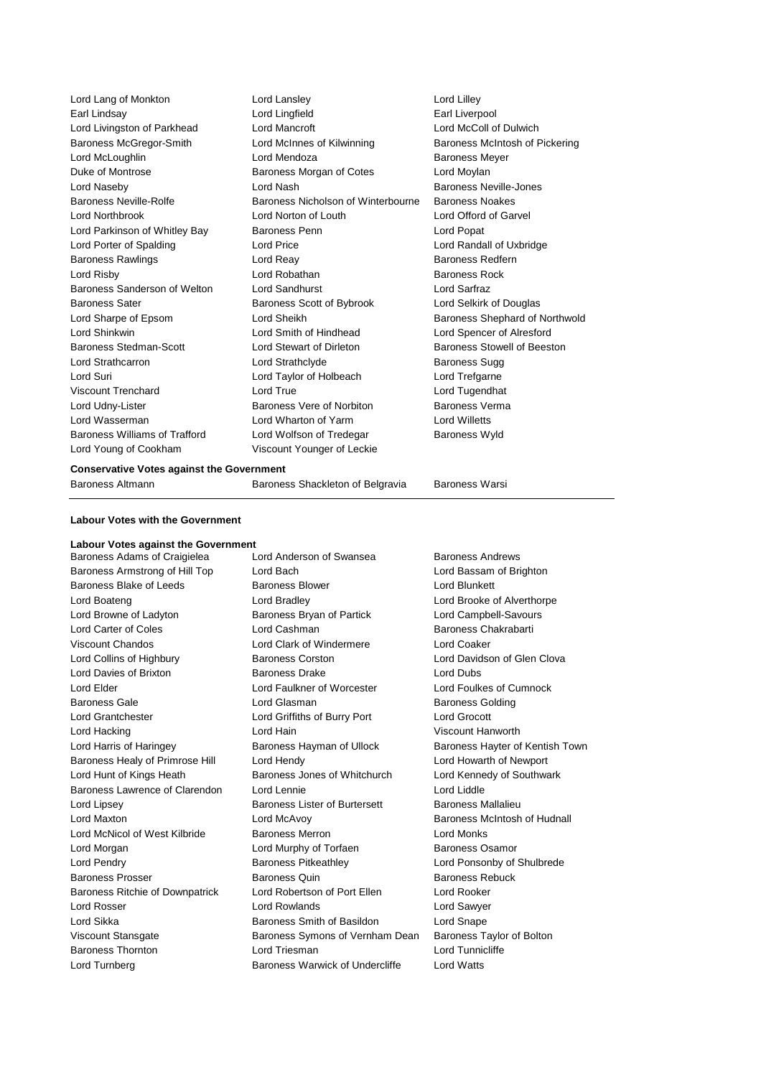| Lord Lang of Monkton          | Lord Lansley                       | Lord Lilley                    |
|-------------------------------|------------------------------------|--------------------------------|
| Earl Lindsay                  | Lord Lingfield                     | Earl Liverpool                 |
| Lord Livingston of Parkhead   | <b>Lord Mancroft</b>               | Lord McColl of Dulwich         |
| Baroness McGregor-Smith       | Lord McInnes of Kilwinning         | Baroness McIntosh of Pickering |
| Lord McLoughlin               | Lord Mendoza                       | <b>Baroness Meyer</b>          |
| Duke of Montrose              | Baroness Morgan of Cotes           | Lord Moylan                    |
| Lord Naseby                   | Lord Nash                          | Baroness Neville-Jones         |
| Baroness Neville-Rolfe        | Baroness Nicholson of Winterbourne | <b>Baroness Noakes</b>         |
| Lord Northbrook               | Lord Norton of Louth               | Lord Offord of Garvel          |
| Lord Parkinson of Whitley Bay | Baroness Penn                      | Lord Popat                     |
| Lord Porter of Spalding       | <b>Lord Price</b>                  | Lord Randall of Uxbridge       |
| Baroness Rawlings             | Lord Reay                          | <b>Baroness Redfern</b>        |
| Lord Risby                    | Lord Robathan                      | <b>Baroness Rock</b>           |
| Baroness Sanderson of Welton  | <b>Lord Sandhurst</b>              | Lord Sarfraz                   |
| <b>Baroness Sater</b>         | Baroness Scott of Bybrook          | Lord Selkirk of Douglas        |
| Lord Sharpe of Epsom          | Lord Sheikh                        | Baroness Shephard of Northwold |
| Lord Shinkwin                 | Lord Smith of Hindhead             | Lord Spencer of Alresford      |
| <b>Baroness Stedman-Scott</b> | Lord Stewart of Dirleton           | Baroness Stowell of Beeston    |
| Lord Strathcarron             | Lord Strathclyde                   | <b>Baroness Sugg</b>           |
| Lord Suri                     | Lord Taylor of Holbeach            | Lord Trefgarne                 |
| Viscount Trenchard            | Lord True                          | Lord Tugendhat                 |
| Lord Udny-Lister              | Baroness Vere of Norbiton          | Baroness Verma                 |
| Lord Wasserman                | Lord Wharton of Yarm               | <b>Lord Willetts</b>           |
| Baroness Williams of Trafford | Lord Wolfson of Tredegar           | <b>Baroness Wyld</b>           |
| Lord Young of Cookham         | Viscount Younger of Leckie         |                                |

#### **Conservative Votes against the Government**

Baroness Altmann **Baroness Shackleton of Belgravia** Baroness Warsi

**Labour Votes with the Government**

# **Labour Votes against the Government**

Baroness Adams of Craigielea Lord Anderson of Swansea Baroness Andrews Baroness Armstrong of Hill Top Lord Bach Lord Bassam of Brighton Baroness Blake of Leeds Baroness Blower Baroness Blower Lord Blunkett Lord Boateng Lord Bradley Lord Brooke of Alverthorpe Lord Browne of Ladyton Baroness Bryan of Partick Lord Campbell-Savours Lord Carter of Coles Lord Cashman Baroness Chakrabarti Viscount Chandos Lord Clark of Windermere Lord Coaker Lord Collins of Highbury Baroness Corston Lord Davidson of Glen Clova Lord Davies of Brixton **Baroness Drake** Lord Dubs Lord Elder Lord Faulkner of Worcester Lord Foulkes of Cumnock Baroness Gale **Baroness Golding** Lord Glasman **Baroness Golding** Lord Grantchester Lord Griffiths of Burry Port Lord Grocott Lord Hacking Lord Hain Viscount Hanworth Baroness Healy of Primrose Hill Lord Hendy Lord Howarth of Newport Lord Hunt of Kings Heath Baroness Jones of Whitchurch Lord Kennedy of Southwark Baroness Lawrence of Clarendon Lord Lennie **Lord Lengter Clarendon** Lord Liddle Lord Lipsey **Baroness Lister of Burtersett** Baroness Mallalieu Lord Maxton Lord McAvoy Baroness McIntosh of Hudnall Lord McNicol of West Kilbride Baroness Merron **Baroness Merron** Lord Monks Lord Morgan Lord Murphy of Torfaen Baroness Osamor Lord Pendry **Baroness Pitkeathley** Lord Ponsonby of Shulbrede Baroness Prosser **Baroness Access** Baroness Quin Baroness Rebuck Baroness Ritchie of Downpatrick Lord Robertson of Port Ellen Lord Rooker Lord Rosser Lord Rowlands Lord Sawyer Lord Sikka Baroness Smith of Basildon Lord Snape Viscount Stansgate Baroness Symons of Vernham Dean Baroness Taylor of Bolton Baroness Thornton **Lord Triesman** Lord Triesman Lord Tunnicliffe Lord Turnberg Baroness Warwick of Undercliffe Lord Watts

Lord Harris of Haringey Baroness Hayman of Ullock Baroness Hayter of Kentish Town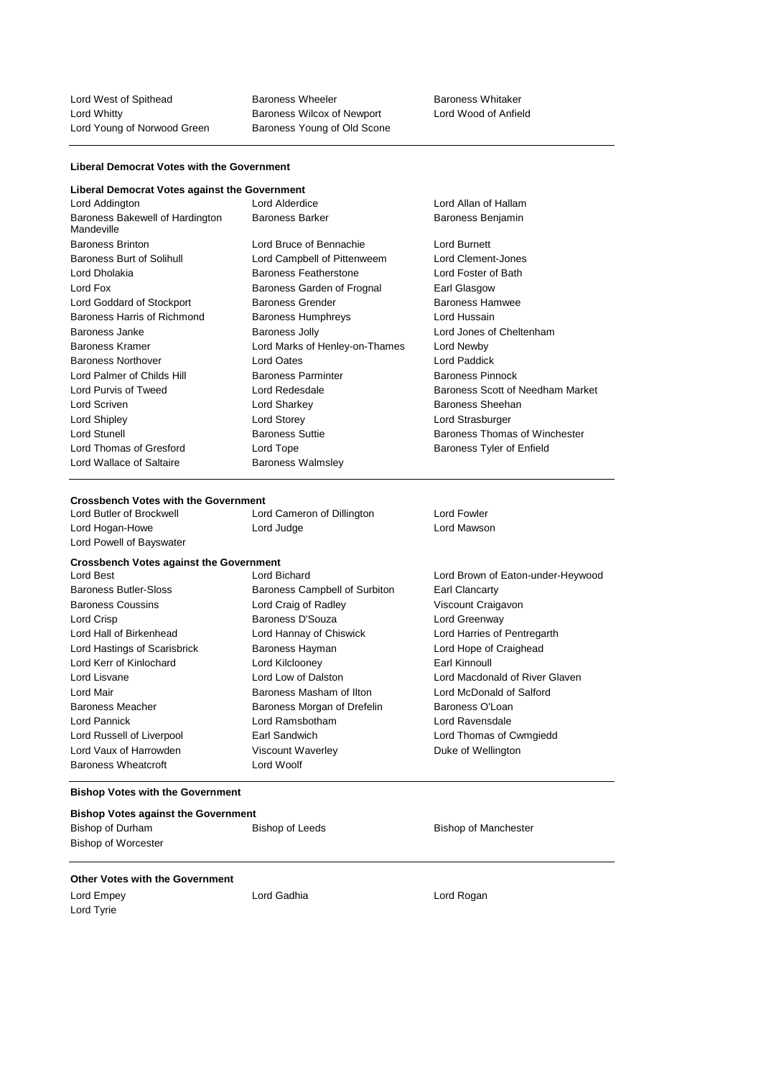Lord West of Spithead **Baroness Wheeler** Baroness Whitaker

Lord Whitty Baroness Wilcox of Newport Lord Wood of Anfield Lord Young of Norwood Green Baroness Young of Old Scone

# **Liberal Democrat Votes with the Government**

| Liberal Democrat Votes against the Government |                                |                                  |
|-----------------------------------------------|--------------------------------|----------------------------------|
| Lord Addington                                | Lord Alderdice                 | Lord Allan of Hallam             |
| Baroness Bakewell of Hardington<br>Mandeville | <b>Baroness Barker</b>         | Baroness Benjamin                |
| <b>Baroness Brinton</b>                       | Lord Bruce of Bennachie        | Lord Burnett                     |
| <b>Baroness Burt of Solihull</b>              | Lord Campbell of Pittenweem    | Lord Clement-Jones               |
| Lord Dholakia                                 | Baroness Featherstone          | Lord Foster of Bath              |
| Lord Fox                                      | Baroness Garden of Frognal     | Earl Glasgow                     |
| Lord Goddard of Stockport                     | <b>Baroness Grender</b>        | Baroness Hamwee                  |
| Baroness Harris of Richmond                   | <b>Baroness Humphreys</b>      | Lord Hussain                     |
| Baroness Janke                                | <b>Baroness Jolly</b>          | Lord Jones of Cheltenham         |
| <b>Baroness Kramer</b>                        | Lord Marks of Henley-on-Thames | Lord Newby                       |
| <b>Baroness Northover</b>                     | <b>Lord Oates</b>              | Lord Paddick                     |
| Lord Palmer of Childs Hill                    | <b>Baroness Parminter</b>      | <b>Baroness Pinnock</b>          |
| Lord Purvis of Tweed                          | Lord Redesdale                 | Baroness Scott of Needham Market |
| Lord Scriven                                  | Lord Sharkey                   | Baroness Sheehan                 |
| Lord Shipley                                  | Lord Storey                    | Lord Strasburger                 |
| Lord Stunell                                  | <b>Baroness Suttie</b>         | Baroness Thomas of Winchester    |
| Lord Thomas of Gresford                       | Lord Tope                      | Baroness Tyler of Enfield        |
| Lord Wallace of Saltaire                      | <b>Baroness Walmsley</b>       |                                  |
|                                               |                                |                                  |

Lord Cameron of Dillington Lord Fowler

# **Crossbench Votes with the Government**

Lord Hogan-Howe **Lord Judge** Lord Lord Mawson Lord Powell of Bayswater

### **Crossbench Votes against the Government**

| Lord Best                    | Lord Bichard                  | Lord Brown of         |
|------------------------------|-------------------------------|-----------------------|
| Baroness Butler-Sloss        | Baroness Campbell of Surbiton | <b>Earl Clancarty</b> |
| <b>Baroness Coussins</b>     | Lord Craig of Radley          | <b>Viscount Craig</b> |
| Lord Crisp                   | Baroness D'Souza              | Lord Greenway         |
| Lord Hall of Birkenhead      | Lord Hannay of Chiswick       | Lord Harries of       |
| Lord Hastings of Scarisbrick | Baroness Hayman               | Lord Hope of 0        |
| Lord Kerr of Kinlochard      | Lord Kilclooney               | Earl Kinnoull         |
| Lord Lisvane                 | Lord Low of Dalston           | Lord Macdona          |
| Lord Mair                    | Baroness Masham of Ilton      | Lord McDonak          |
| Baroness Meacher             | Baroness Morgan of Drefelin   | Baroness O'Lo         |
| Lord Pannick                 | Lord Ramsbotham               | Lord Ravensda         |
| Lord Russell of Liverpool    | Earl Sandwich                 | Lord Thomas           |
| Lord Vaux of Harrowden       | Viscount Waverley             | Duke of Wellin        |
| <b>Baroness Wheatcroft</b>   | Lord Woolf                    |                       |

#### **Bishop Votes with the Government**

| <b>Bishop Votes against the Government</b> |                 |                             |  |
|--------------------------------------------|-----------------|-----------------------------|--|
| Bishop of Durham                           | Bishop of Leeds | <b>Bishop of Manchester</b> |  |
| Bishop of Worcester                        |                 |                             |  |

**Other Votes with the Government**

Lord Tyrie

Lord Empey **Lord Gadhia** Lord Gadhia **Lord Communist Lord Rogan** 

Lord Brown of Eaton-under-Heywood

Viscount Craigavon Lord Greenway

Lord Harries of Pentregarth Lord Hope of Craighead

Lord Thomas of Cwmgiedd Duke of Wellington

Lord Macdonald of River Glaven Lord McDonald of Salford Baroness O'Loan Lord Ravensdale